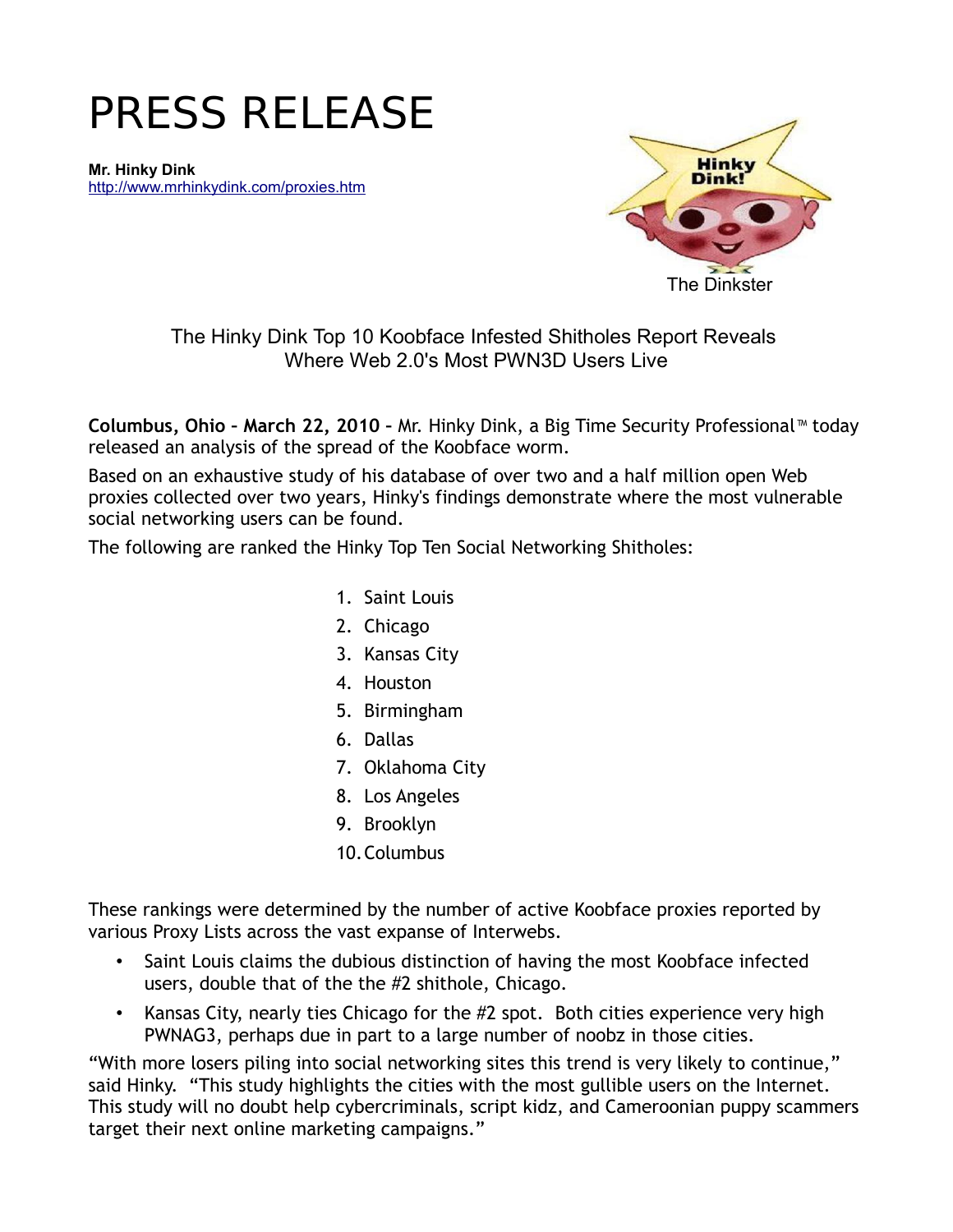# PRESS RELEASE

**Mr. Hinky Dink** <http://www.mrhinkydink.com/proxies.htm>



The Hinky Dink Top 10 Koobface Infested Shitholes Report Reveals Where Web 2.0's Most PWN3D Users Live

**Columbus, Ohio – March 22, 2010 –** Mr. Hinky Dink, a Big Time Security Professional™ today released an analysis of the spread of the Koobface worm.

Based on an exhaustive study of his database of over two and a half million open Web proxies collected over two years, Hinky's findings demonstrate where the most vulnerable social networking users can be found.

The following are ranked the Hinky Top Ten Social Networking Shitholes:

- 1. Saint Louis
- 2. Chicago
- 3. Kansas City
- 4. Houston
- 5. Birmingham
- 6. Dallas
- 7. Oklahoma City
- 8. Los Angeles
- 9. Brooklyn
- 10.Columbus

These rankings were determined by the number of active Koobface proxies reported by various Proxy Lists across the vast expanse of Interwebs.

- Saint Louis claims the dubious distinction of having the most Koobface infected users, double that of the the #2 shithole, Chicago.
- Kansas City, nearly ties Chicago for the #2 spot. Both cities experience very high PWNAG3, perhaps due in part to a large number of noobz in those cities.

"With more losers piling into social networking sites this trend is very likely to continue," said Hinky. "This study highlights the cities with the most gullible users on the Internet. This study will no doubt help cybercriminals, script kidz, and Cameroonian puppy scammers target their next online marketing campaigns."